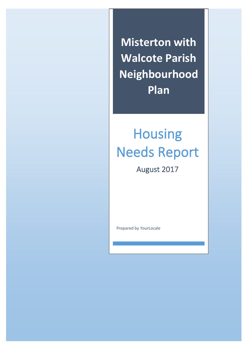**Misterton with Walcote Parish Neighbourhood Plan**

# Housing Needs Report

August 2017

Prepared by *Your*Locale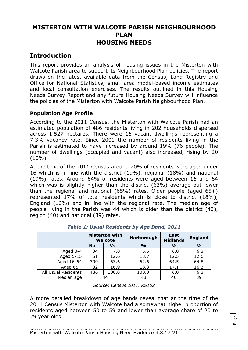# **MISTERTON WITH WALCOTE PARISH NEIGHBOURHOOD PLAN HOUSING NEEDS**

## **Introduction**

This report provides an analysis of housing issues in the Misterton with Walcote Parish area to support its Neighbourhood Plan policies. The report draws on the latest available data from the Census, Land Registry and Office for National Statistics, small area model-based income estimates and local consultation exercises. The results outlined in this Housing Needs Survey Report and any future Housing Needs Survey will influence the policies of the Misterton with Walcote Parish Neighbourhood Plan.

## **Population Age Profile**

According to the 2011 Census, the Misterton with Walcote Parish had an estimated population of 486 residents living in 202 households dispersed across 1,527 hectares. There were 16 vacant dwellings representing a 7.3% vacancy rate. Since 2001 the number of residents living in the Parish is estimated to have increased by around 19% (76 people). The number of dwellings (occupied and vacant) also increased, rising by 20  $(10\%)$ .

At the time of the 2011 Census around 20% of residents were aged under 16 which is in line with the district (19%), regional (18%) and national (19%) rates. Around 64% of residents were aged between 16 and 64 which was is slightly higher than the district (63%) average but lower than the regional and national (65%) rates. Older people (aged 65+) represented 17% of total residents which is close to district (18%), England (16%) and in line with the regional rate. The median age of people living in the Parish was 44 which is older than the district (43), region (40) and national (39) rates.

|                     | <b>Misterton with</b><br><b>Walcote</b> |               | Harborough    | <b>East</b><br><b>Midlands</b> | <b>England</b> |
|---------------------|-----------------------------------------|---------------|---------------|--------------------------------|----------------|
|                     | <b>No</b>                               | $\frac{1}{2}$ | $\frac{1}{2}$ | $\frac{0}{0}$                  | $\frac{1}{2}$  |
| Aged 0-4            | 34                                      | 7.0           | 5.5           | 6.0                            | 6.3            |
| Aged 5-15           | 61                                      | 12.6          | 13.7          | 12.5                           | 12.6           |
| Aged 16-64          | 309                                     | 63.6          | 62.6          | 64.5                           | 64.8           |
| Aged $65+$          | 82                                      | 16.9          | 18.3          | 17.1                           | 16.3           |
| All Usual Residents | 486                                     | 100.0         | 100.0         | 6.0                            | 6.3            |
| Median age          |                                         | 44            | 43            | 40                             | 39             |

*Table 1: Usual Residents by Age Band, 2011*

*Source: Census 2011, KS102*

A more detailed breakdown of age bands reveal that at the time of the 2011 Census Misterton with Walcote had a somewhat higher proportion of residents aged between 50 to 59 and lower than average share of 20 to 29 year olds.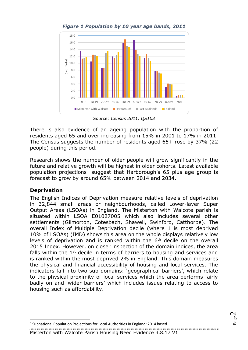



*Source: Census 2011, QS103*

There is also evidence of an ageing population with the proportion of residents aged 65 and over increasing from 15% in 2001 to 17% in 2011. The Census suggests the number of residents aged 65+ rose by 37% (22 people) during this period.

Research shows the number of older people will grow significantly in the future and relative growth will be highest in older cohorts. Latest available population projections<sup>1</sup> suggest that Harborough's 65 plus age group is forecast to grow by around 65% between 2014 and 2034.

#### **Deprivation**

The English Indices of Deprivation measure relative levels of deprivation in 32,844 small areas or neighbourhoods, called Lower-layer Super Output Areas (LSOAs) in England. The Misterton with Walcote parish is situated within LSOA E01027005 which also includes several other settlements (Gilmorton, Cotesbach, Shawell, Swinford, Catthorpe). The overall Index of Multiple Deprivation decile (where 1 is most deprived 10% of LSOAs) (IMD) shows this area on the whole displays relatively low levels of deprivation and is ranked within the  $6<sup>th</sup>$  decile on the overall 2015 Index. However, on closer inspection of the domain indices, the area falls within the 1<sup>st</sup> decile in terms of barriers to housing and services and is ranked within the most deprived 2% in England. This domain measures the physical and financial accessibility of housing and local services. The indicators fall into two sub-domains: 'geographical barriers', which relate to the physical proximity of local services which the area performs fairly badly on and 'wider barriers' which includes issues relating to access to housing such as affordability.

Misterton with Walcote Parish Housing Need Evidence 3.8.17 V1

<sup>&</sup>lt;sup>1</sup> Subnational Population Projections for Local Authorities in England: 2014 based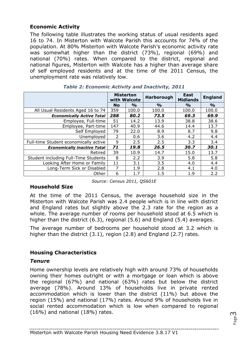### **Economic Activity**

The following table illustrates the working status of usual residents aged 16 to 74. In Misterton with Walcote Parish this accounts for 74% of the population. At 80% Misterton with Walcote Parish's economic activity rate was somewhat higher than the district (73%), regional (69%) and national (70%) rates. When compared to the district, regional and national figures, Misterton with Walcote has a higher than average share of self employed residents and at the time of the 2011 Census, the unemployment rate was relatively low.

|                                       | <b>Misterton</b> | with Walcote  | Harborough    | <b>East</b><br><b>Midlands</b> | <b>England</b> |
|---------------------------------------|------------------|---------------|---------------|--------------------------------|----------------|
|                                       | <b>No</b>        | $\frac{0}{0}$ | $\frac{9}{0}$ | $\frac{1}{2}$                  | $\frac{0}{0}$  |
| All Usual Residents Aged 16 to 74     | 359              | 100.0         | 100.0         | 100.0                          | 100.0          |
| <b>Economically Active Total</b>      | 288              | 80.2          | 73.5          | 69,3                           | 69.9           |
| Employee, Full-time                   | 51               | 14.2          | 13.9          | 38.8                           | 38.6           |
| Employee, Part-time                   | 147              | 40.9          | 44.6          | 14.4                           | 13.7           |
| Self Employed                         | 79               | 22.0          | 8.9           | 8.7                            | 9.8            |
| Unemployed                            | $\mathcal{P}$    | 0.6           | 3.6           | 4.2                            | 4.4            |
| Full-time Student economically active | 9                | 2.5           | 2.5           | 3.3                            | 3.4            |
| <b>Economically inactive Total</b>    | 71               | 19.8          | 26.5          | 30.7                           | 30.1           |
| Retired                               | 39               | 10.9          | 14.7          | 15.0                           | 13.7           |
| Student including Full-Time Students  | 8                | 2.2           | 3.9           | 5.8                            | 5.8            |
| Looking After Home or Family          | 11               | 3.1           | 3.5           | 4.0                            | 4.4            |
| Long-Term Sick or Disabled            | 7                | 1.9           | 2.8           | 4.1                            | 4.0            |
| Other                                 | 6                | 1.7           | 1.5           | 1.9                            | 2.2            |

*Source: Census 2011, QS601E*

#### **Household Size**

At the time of the 2011 Census, the average household size in the Misterton with Walcote Parish was 2.4 people which is in line with district and England rates but slightly above the 2.3 rate for the region as a whole. The average number of rooms per household stood at 6.5 which is higher than the district (6.3), regional (5.6) and England (5.4) averages.

The average number of bedrooms per household stood at 3.2 which is higher than the district (3.1), region (2.8) and England (2.7) rates.

## **Housing Characteristics**

#### *Tenure*

Home ownership levels are relatively high with around 73% of households owning their homes outright or with a mortgage or loan which is above the regional (67%) and national (63%) rates but below the district average (78%). Around 13% of households live in private rented accommodation which is lower than the district (11%) but above the region (15%) and national (17%) rates. Around 9% of households live in social rented accommodation which is low when compared to regional (16%) and national (18%) rates.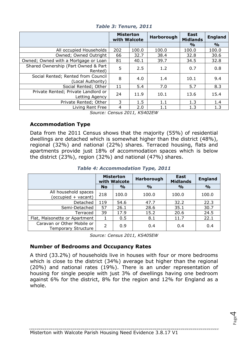|                                                         | <b>Misterton</b><br>with Walcote |       | Harborough | East<br><b>Midlands</b> | <b>England</b> |
|---------------------------------------------------------|----------------------------------|-------|------------|-------------------------|----------------|
|                                                         |                                  |       |            | $\frac{0}{0}$           | $\frac{6}{6}$  |
| All occupied Households                                 | 202                              | 100.0 | 100.0      | 100.0                   | 100.0          |
| Owned; Owned Outright                                   | 66                               | 32.7  | 38.4       | 32.8                    | 30.6           |
| Owned; Owned with a Mortgage or Loan                    | 81                               | 40.1  | 39.7       | 34.5                    | 32.8           |
| Shared Ownership (Part Owned & Part<br>Rented)          | 5                                | 2.5   | 1.2        | 0.7                     | 0.8            |
| Social Rented; Rented from Council<br>(Local Authority) | 8                                | 4.0   | 1.4        | 10.1                    | 9.4            |
| Social Rented; Other                                    | 11                               | 5.4   | 7.0        | 5.7                     | 8.3            |
| Private Rented; Private Landlord or<br>Letting Agency   | 24                               | 11.9  | 10.1       | 13.6                    | 15.4           |
| Private Rented; Other                                   | 3                                | 1.5   | 1.1        | 1.3                     | 1.4            |
| Living Rent Free                                        | 4                                | 2.0   | $1.1\,$    | 1.3                     | 1.3            |

*Table 3: Tenure, 2011*

*Source: Census 2011, KS402EW*

#### **Accommodation Type**

Data from the 2011 Census shows that the majority (55%) of residential dwellings are detached which is somewhat higher than the district (48%), regional (32%) and national (22%) shares. Terraced housing, flats and apartments provide just 18% of accommodation spaces which is below the district (23%), region (32%) and national (47%) shares.

*Table 4: Accommodation Type, 2011*

|                                                          | <b>Misterton</b><br>with Walcote |               | Harborough    | <b>East</b><br><b>Midlands</b> | <b>England</b> |
|----------------------------------------------------------|----------------------------------|---------------|---------------|--------------------------------|----------------|
|                                                          | <b>No</b>                        | $\frac{0}{0}$ | $\frac{0}{0}$ | $\frac{0}{0}$                  | $\frac{1}{2}$  |
| All household spaces<br>(occupied + vacant)              | 218                              | 100.0         | 100.0         | 100.0                          | 100.0          |
| Detached                                                 | 119                              | 54.6          | 47.7          | 32.2                           | 22.3           |
| Semi-Detached                                            | 57                               | 26.1          | 28.6          | 35.1                           | 30.7           |
| Terraced                                                 | 39                               | 17.9          | 15.2          | 20.6                           | 24.5           |
| Flat, Maisonette or Apartment                            |                                  | 0.5           | 8.1           | 11.7                           | 22.1           |
| Caravan or Other Mobile or<br><b>Temporary Structure</b> | 2                                | 0.9           | 0.4           | 0.4                            | 0.4            |

*Source: Census 2011, KS405EW*

#### **Number of Bedrooms and Occupancy Rates**

A third (33.2%) of households live in houses with four or more bedrooms which is close to the district (34%) average but higher than the regional (20%) and national rates (19%). There is an under representation of housing for single people with just 3% of dwellings having one bedroom against 6% for the district, 8% for the region and 12% for England as a whole.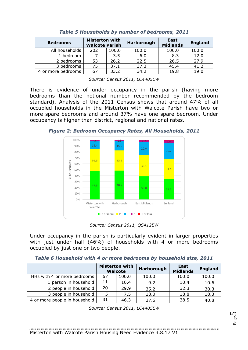| <b>Bedrooms</b>    | <b>Misterton with</b><br><b>Walcote Parish</b> |       | Harborough | East<br><b>Midlands</b> | <b>England</b> |
|--------------------|------------------------------------------------|-------|------------|-------------------------|----------------|
| All households     | 202                                            | 100.0 | 100.0      | 100.0                   | 100.0          |
| 1 bedroom          |                                                | 3.5   | 6.0        | 8.3                     | 12.0           |
| 2 bedrooms         | 53                                             | 26.2  | 22.5       | 26.5                    | 27.9           |
| 3 bedrooms         | 75                                             | 37.1  | 37.3       | 45.4                    | 41.2           |
| 4 or more bedrooms |                                                | 33.2  | 34.2       | 19.8                    | 19.0           |

| Table 5 Households by number of bedrooms, 2011 |  |  |  |
|------------------------------------------------|--|--|--|
|                                                |  |  |  |

*Source: Census 2011, LC4405EW*

There is evidence of under occupancy in the parish (having more bedrooms than the notional number recommended by the bedroom standard). Analysis of the 2011 Census shows that around 47% of all occupied households in the Misterton with Walcote Parish have two or more spare bedrooms and around 37% have one spare bedroom. Under occupancy is higher than district, regional and national rates.

*Figure 2: Bedroom Occupancy Rates, All Households, 2011*



*Source: Census 2011, QS412EW*

Under occupancy in the parish is particularly evident in larger properties with just under half (46%) of households with 4 or more bedrooms occupied by just one or two people.

|  |  |  |  | Table 6 Household with 4 or more bedrooms by household size, 2011 |  |
|--|--|--|--|-------------------------------------------------------------------|--|
|  |  |  |  |                                                                   |  |

|                               | <b>Misterton with</b><br><b>Walcote</b> |       | Harborough | <b>East</b><br><b>Midlands</b> | <b>England</b> |
|-------------------------------|-----------------------------------------|-------|------------|--------------------------------|----------------|
| HHs with 4 or more bedrooms   | 67                                      | 100.0 | 100.0      | 100.0                          | 100.0          |
| 1 person in household         | 11                                      | 16.4  | 9.2        | 10.4                           | 10.6           |
| 2 people in household         | 20                                      | 29.9  | 35.2       | 32.3                           | 30.3           |
| 3 people in household         | 5                                       | 7.5   | 18.0       | 18.8                           | 18.3           |
| 4 or more people in household | 31                                      | 46.3  | 37.6       | 38.5                           | 40.8           |

*Source: Census 2011, LC4405EW*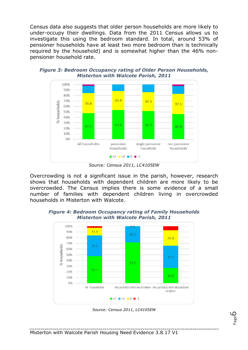Census data also suggests that older person households are more likely to under-occupy their dwellings. Data from the 2011 Census allows us to investigate this using the bedroom standard. In total, around 53% of pensioner households have at least two more bedroom than is technically required by the household) and is somewhat higher than the 46% nonpensioner household rate.



*Figure 3: Bedroom Occupancy rating of Older Person Households, Misterton with Walcote Parish, 2011*

Overcrowding is not a significant issue in the parish, however, research shows that households with dependent children are more likely to be overcrowded. The Census implies there is some evidence of a small number of families with dependent children living in overcrowded households in Misterton with Walcote.



*Figure 4: Bedroom Occupancy rating of Family Households Misterton with Walcote Parish, 2011*

*Source: Census 2011, LC4105EW*

*Source: Census 2011, LC4105EW*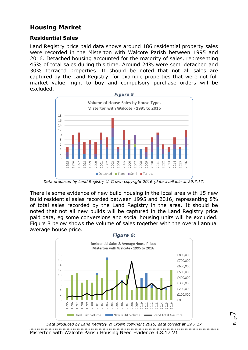# **Housing Market**

#### **Residential Sales**

Land Registry price paid data shows around 186 residential property sales were recorded in the Misterton with Walcote Parish between 1995 and 2016. Detached housing accounted for the majority of sales, representing 45% of total sales during this time. Around 24% were semi detached and 30% terraced properties. It should be noted that not all sales are captured by the Land Registry, for example properties that were not full market value, right to buy and compulsory purchase orders will be excluded.



*Data produced by Land Registry © Crown copyright 2016 (data available at 29.7.17)*

There is some evidence of new build housing in the local area with 15 new build residential sales recorded between 1995 and 2016, representing 8% of total sales recorded by the Land Registry in the area. It should be noted that not all new builds will be captured in the Land Registry price paid data, eg some conversions and social housing units will be excluded. Figure 8 below shows the volume of sales together with the overall annual average house price.



*Data produced by Land Registry © Crown copyright 2016, data correct at 29.7.17*

Misterton with Walcote Parish Housing Need Evidence 3.8.17 V1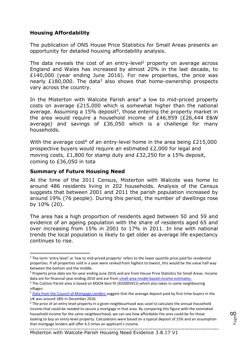#### **Housing Affordability**

The publication of ONS House Price Statistics for Small Areas presents an opportunity for detailed housing affordability analysis.

The data reveals the cost of an entry-level<sup>2</sup> property on average across England and Wales has increased by almost 20% in the last decade, to £140,000 (year ending June 2016). For new properties, the price was nearly  $£180,000$ . The data<sup>3</sup> also shows that home-ownership prospects vary across the country.

In the Misterton with Walcote Parish area<sup>4</sup> a low to mid-priced property costs on average £215,000 which is somewhat higher than the national average. Assuming a 15% deposit<sup>5</sup>, those entering the property market in the area would require a household income of £46,959 (£26,444 E&W average) and savings of £36,050 which is a challenge for many households.

With the average cost<sup>6</sup> of an entry-level home in the area being  $£215,000$ prospective buyers would require an estimated £2,000 for legal and moving costs, £1,800 for stamp duty and £32,250 for a 15% deposit, coming to £36,050 in tota

#### **Summary of Future Housing Need**

At the time of the 2011 Census, Misterton with Walcote was home to around 486 residents living in 202 households. Analysis of the Census suggests that between 2001 and 2011 the parish population increased by around 19% (76 people). During this period, the number of dwellings rose by 10% (20).

The area has a high proportion of residents aged between 50 and 59 and evidence of an ageing population with the share of residents aged 65 and over increasing from 15% in 2001 to 17% in 2011. In line with national trends the local population is likely to get older as average life expectancy continues to rise.

<sup>&</sup>lt;sup>2</sup> The term 'entry level' or 'low to mid-priced property' refers to the lower quartile price paid for residential properties. If all properties sold in a year were ranked from highest to lowest, this would be the value half way between the bottom and the middle.

<sup>&</sup>lt;sup>3</sup> Property price data are for year ending June 2016 and are fro[m House Price Statistics for Small Areas.](https://www.ons.gov.uk/peoplepopulationandcommunity/housing/bulletins/housepricestatisticsforsmallareas/yearendingdecember1995toyearendingjune2016) Income data are for financial year ending 2014 and are from small area model-based income estimates.

<sup>4</sup> The Colston Parish area is based on MSOA best fit (E02005915) which also takes in some neighbouring villages.

<sup>5</sup> [Data from the Council of Mortgage Lenders s](https://www.cml.org.uk/news/press-releases/december-2016-monthly-lending-trends-press-release/?utm_source=CML%20email%20alerts&utm_medium=email&utm_campaign=CML%20alerts)uggest that the average deposit paid by first-time buyers in the UK was around 18% in December 2016.

<sup>&</sup>lt;sup>6</sup> The price of an entry level property in a given neighbourhood was used to calculate the annual household income that could be needed to secure a mortgage in that area. By comparing this figure with the estimated household income for the same neighbourhood, we can see how affordable the area could be for those looking to buy an entry-level property. Calculations were based on a typical deposit of 15% and an assumption that mortgage lenders will offer 4.5 times an applicant's income.